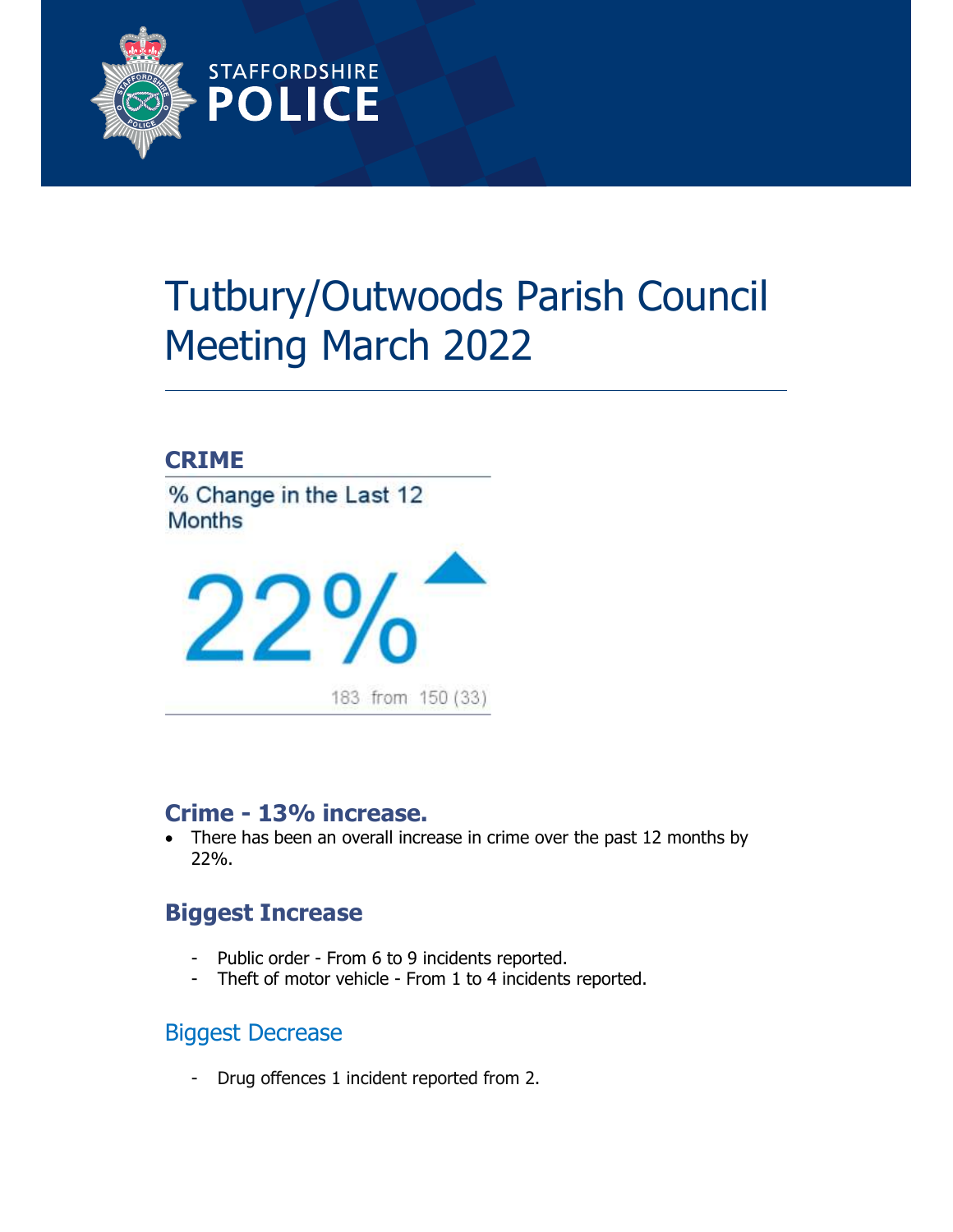

# Tutbury/Outwoods Parish Council Meeting March 2022

## CRIME

% Change in the Last 12 **Months** 



# Crime - 13% increase.

• There has been an overall increase in crime over the past 12 months by 22%.

# Biggest Increase

- Public order From 6 to 9 incidents reported.
- Theft of motor vehicle From 1 to 4 incidents reported.

## Biggest Decrease

- Drug offences 1 incident reported from 2.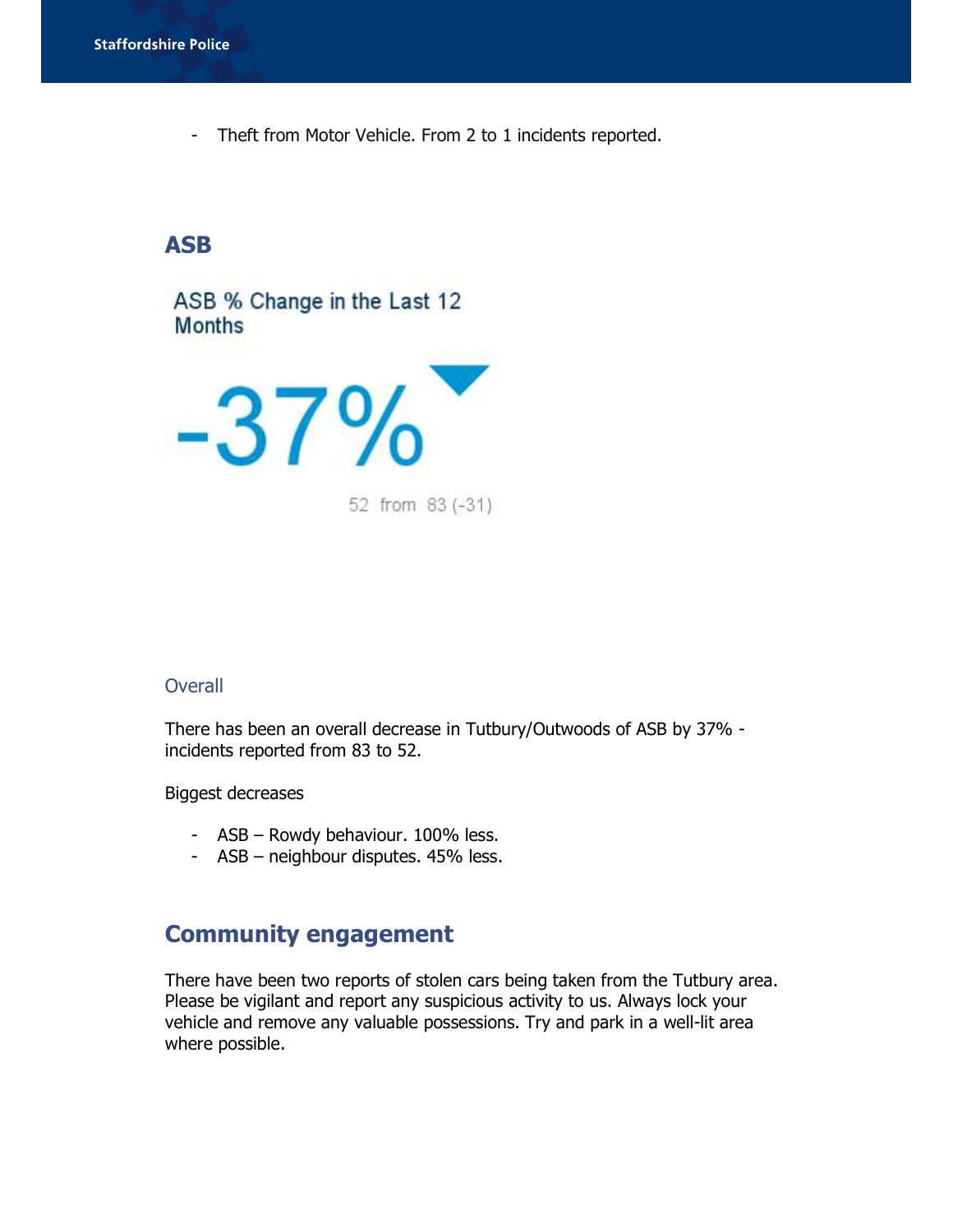- Theft from Motor Vehicle. From 2 to 1 incidents reported.

#### ASB

ASB % Change in the Last 12 **Months** 



52 from 83 (-31)

#### **Overall**

There has been an overall decrease in Tutbury/Outwoods of ASB by 37% incidents reported from 83 to 52.

Biggest decreases

- ASB Rowdy behaviour. 100% less.
- ASB neighbour disputes. 45% less.

## Community engagement

There have been two reports of stolen cars being taken from the Tutbury area. Please be vigilant and report any suspicious activity to us. Always lock your vehicle and remove any valuable possessions. Try and park in a well-lit area where possible.